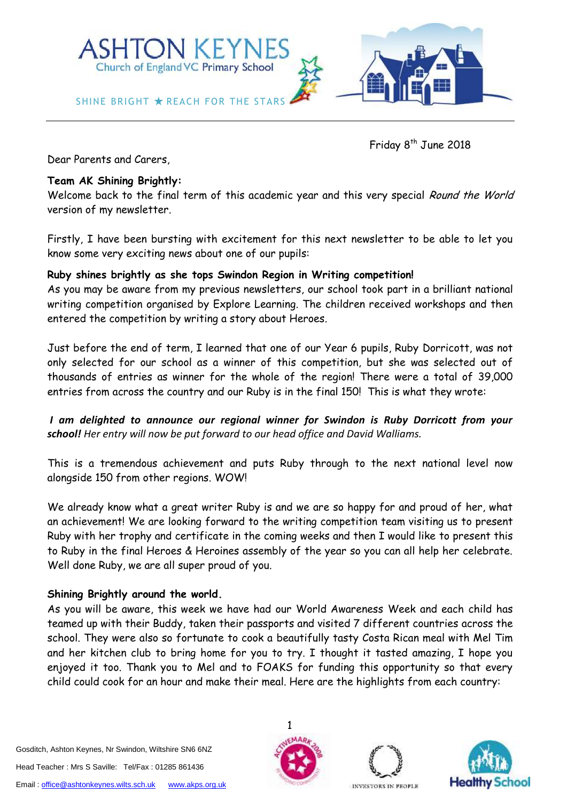

 Friday 8 Friday  $8^{th}$  June 2018

Dear Parents and Carers,

# **Team AK Shining Brightly:**

Welcome back to the final term of this academic year and this very special Round the World version of my newsletter.

Firstly, I have been bursting with excitement for this next newsletter to be able to let you know some very exciting news about one of our pupils:

# **Ruby shines brightly as she tops Swindon Region in Writing competition!**

As you may be aware from my previous newsletters, our school took part in a brilliant national writing competition organised by Explore Learning. The children received workshops and then entered the competition by writing a story about Heroes.

Just before the end of term, I learned that one of our Year 6 pupils, Ruby Dorricott, was not only selected for our school as a winner of this competition, but she was selected out of thousands of entries as winner for the whole of the region! There were a total of 39,000 entries from across the country and our Ruby is in the final 150! This is what they wrote:

*I am delighted to announce our regional winner for Swindon is Ruby Dorricott from your school! Her entry will now be put forward to our head office and David Walliams.*

This is a tremendous achievement and puts Ruby through to the next national level now alongside 150 from other regions. WOW!

We already know what a great writer Ruby is and we are so happy for and proud of her, what an achievement! We are looking forward to the writing competition team visiting us to present Ruby with her trophy and certificate in the coming weeks and then I would like to present this to Ruby in the final Heroes & Heroines assembly of the year so you can all help her celebrate. Well done Ruby, we are all super proud of you.

# **Shining Brightly around the world.**

As you will be aware, this week we have had our World Awareness Week and each child has teamed up with their Buddy, taken their passports and visited 7 different countries across the school. They were also so fortunate to cook a beautifully tasty Costa Rican meal with Mel Tim and her kitchen club to bring home for you to try. I thought it tasted amazing, I hope you enjoyed it too. Thank you to Mel and to FOAKS for funding this opportunity so that every child could cook for an hour and make their meal. Here are the highlights from each country:

Gosditch, Ashton Keynes, Nr Swindon, Wiltshire SN6 6NZ Head Teacher : Mrs S Saville: Tel/Fax : 01285 861436 Email[: office@ashtonkeynes.wilts.sch.uk](mailto:office@ashtonkeynes.wilts.sch.uk) [www.akps.org.uk](http://www.akps.org.uk/)





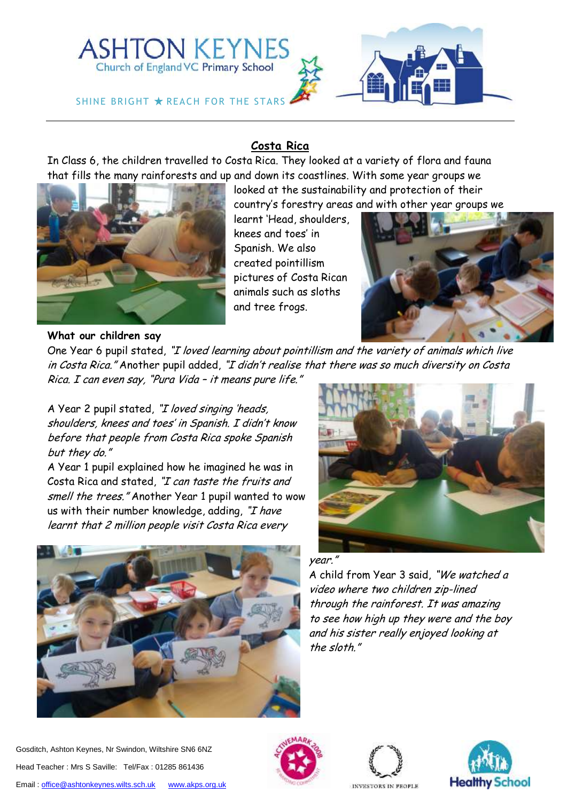

# **Costa Rica**

In Class 6, the children travelled to Costa Rica. They looked at a variety of flora and fauna that fills the many rainforests and up and down its coastlines. With some year groups we



looked at the sustainability and protection of their country's forestry areas and with other year groups we

learnt 'Head, shoulders, knees and toes' in Spanish. We also created pointillism pictures of Costa Rican animals such as sloths and tree frogs.



# **What our children say**

One Year 6 pupil stated, "I loved learning about pointillism and the variety of animals which live in Costa Rica." Another pupil added, "I didn't realise that there was so much diversity on Costa Rica. I can even say, "Pura Vid<sup>a</sup>– it means pure life."

A Year 2 pupil stated, "I loved singing 'heads, shoulders, knees and toes' in Spanish. I didn't know before that people from Costa Rica spoke Spanish but they do."

A Year 1 pupil explained how he imagined he was in Costa Rica and stated, "I can taste the fruits and smell the trees." Another Year 1 pupil wanted to wow us with their number knowledge, adding, "I have learnt that 2 million people visit Costa Rica every





### year."

A child from Year 3 said, "We watched a video where two children zip-lined through the rainforest. It was amazing to see how high up they were and the boy and his sister really enjoyed looking at the sloth."





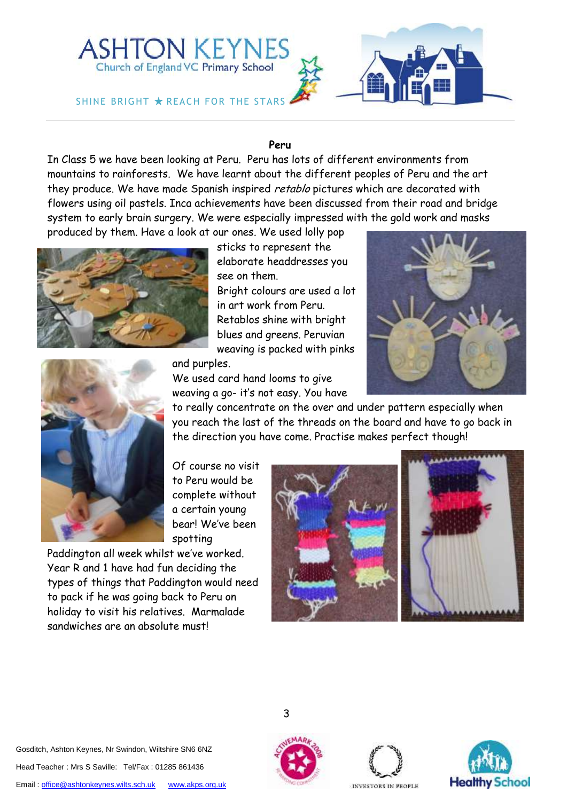

### **Peru**

In Class 5 we have been looking at Peru. Peru has lots of different environments from mountains to rainforests. We have learnt about the different peoples of Peru and the art they produce. We have made Spanish inspired retablo pictures which are decorated with flowers using oil pastels. Inca achievements have been discussed from their road and bridge system to early brain surgery. We were especially impressed with the gold work and masks produced by them. Have a look at our ones. We used lolly pop



sticks to represent the elaborate headdresses you

see on them. Bright colours are used a lot in art work from Peru. Retablos shine with bright blues and greens. Peruvian weaving is packed with pinks



and purples.

We used card hand looms to give weaving a go- it's not easy. You have

to really concentrate on the over and under pattern especially when you reach the last of the threads on the board and have to go back in the direction you have come. Practise makes perfect though!

Of course no visit to Peru would be complete without a certain young bear! We've been spotting

Paddington all week whilst we've worked. Year R and 1 have had fun deciding the types of things that Paddington would need to pack if he was going back to Peru on holiday to visit his relatives. Marmalade sandwiches are an absolute must!



3

Gosditch, Ashton Keynes, Nr Swindon, Wiltshire SN6 6NZ Head Teacher : Mrs S Saville: Tel/Fax : 01285 861436 Email[: office@ashtonkeynes.wilts.sch.uk](mailto:office@ashtonkeynes.wilts.sch.uk) [www.akps.org.uk](http://www.akps.org.uk/)





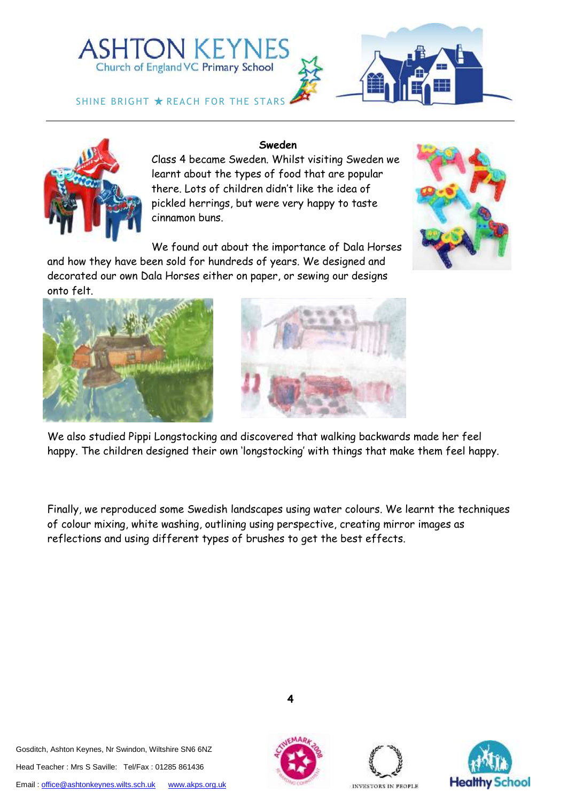







## **Sweden**

Class 4 became Sweden. Whilst visiting Sweden we learnt about the types of food that are popular there. Lots of children didn't like the idea of pickled herrings, but were very happy to taste cinnamon buns.

We found out about the importance of Dala Horses

and how they have been sold for hundreds of years. We designed and decorated our own Dala Horses either on paper, or sewing our designs onto felt.





We also studied Pippi Longstocking and discovered that walking backwards made her feel happy. The children designed their own 'longstocking' with things that make them feel happy.

Finally, we reproduced some Swedish landscapes using water colours. We learnt the techniques of colour mixing, white washing, outlining using perspective, creating mirror images as reflections and using different types of brushes to get the best effects.

Gosditch, Ashton Keynes, Nr Swindon, Wiltshire SN6 6NZ Head Teacher : Mrs S Saville: Tel/Fax : 01285 861436 Email[: office@ashtonkeynes.wilts.sch.uk](mailto:office@ashtonkeynes.wilts.sch.uk) [www.akps.org.uk](http://www.akps.org.uk/)





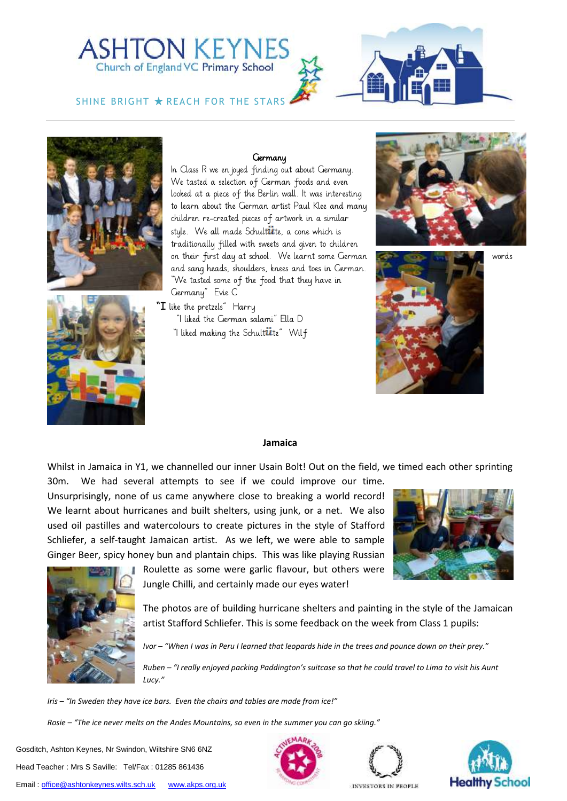# **ASHTON KEYNES** Church of England VC Primary School

SHINE BRIGHT  $\bigstar$  REACH FOR THE STARS





### **Germany**

In Class R we en joyed finding out about Germany. We tasted a selection of German foods and even looked at a piece of the Berlin wall. It was interesting to learn about the German artist Paul Klee and many children re-created pieces of artwork in a similar style. We all made Schult $\ddot{\bm u}$ te, a cone which is traditionally filled with sweets and given to children on their first day at school. We learnt some German words words and sang heads, shoulders, knees and toes in German. "We tasted some of the food that they have in Germany" Evie C

" $I$  like the pretzels"  $\;$  Harry "I liked the German salami" Ella D "I liked making the Schult**ii**te" Wilf







### **Jamaica**

Whilst in Jamaica in Y1, we channelled our inner Usain Bolt! Out on the field, we timed each other sprinting

30m. We had several attempts to see if we could improve our time. Unsurprisingly, none of us came anywhere close to breaking a world record! We learnt about hurricanes and built shelters, using junk, or a net. We also used oil pastilles and watercolours to create pictures in the style of Stafford Schliefer, a self-taught Jamaican artist. As we left, we were able to sample Ginger Beer, spicy honey bun and plantain chips. This was like playing Russian





Roulette as some were garlic flavour, but others were Jungle Chilli, and certainly made our eyes water!

The photos are of building hurricane shelters and painting in the style of the Jamaican artist Stafford Schliefer. This is some feedback on the week from Class 1 pupils:

*Ivor – "When I was in Peru I learned that leopards hide in the trees and pounce down on their prey."*

*Ruben – "I really enjoyed packing Paddington's suitcase so that he could travel to Lima to visit his Aunt Lucy."*

*Iris – "In Sweden they have ice bars. Even the chairs and tables are made from ice!"*

*Rosie – "The ice never melts on the Andes Mountains, so even in the summer you can go skiing."*

Gosditch, Ashton Keynes, Nr Swindon, Wiltshire SN6 6NZ Head Teacher : Mrs S Saville: Tel/Fax : 01285 861436 Email[: office@ashtonkeynes.wilts.sch.uk](mailto:office@ashtonkeynes.wilts.sch.uk) [www.akps.org.uk](http://www.akps.org.uk/)





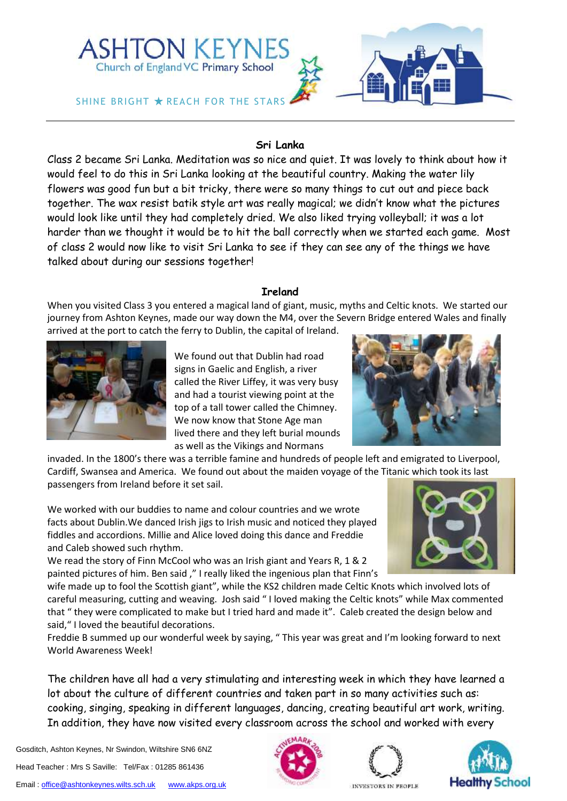

### **Sri Lanka**

Class 2 became Sri Lanka. Meditation was so nice and quiet. It was lovely to think about how it would feel to do this in Sri Lanka looking at the beautiful country. Making the water lily flowers was good fun but a bit tricky, there were so many things to cut out and piece back together. The wax resist batik style art was really magical; we didn't know what the pictures would look like until they had completely dried. We also liked trying volleyball; it was a lot harder than we thought it would be to hit the ball correctly when we started each game. Most of class 2 would now like to visit Sri Lanka to see if they can see any of the things we have talked about during our sessions together!

### **Ireland**

When you visited Class 3 you entered a magical land of giant, music, myths and Celtic knots. We started our journey from Ashton Keynes, made our way down the M4, over the Severn Bridge entered Wales and finally arrived at the port to catch the ferry to Dublin, the capital of Ireland.



We found out that Dublin had road signs in Gaelic and English, a river called the River Liffey, it was very busy and had a tourist viewing point at the top of a tall tower called the Chimney. We now know that Stone Age man lived there and they left burial mounds as well as the Vikings and Normans



invaded. In the 1800's there was a terrible famine and hundreds of people left and emigrated to Liverpool, Cardiff, Swansea and America. We found out about the maiden voyage of the Titanic which took its last passengers from Ireland before it set sail.

We worked with our buddies to name and colour countries and we wrote facts about Dublin.We danced Irish jigs to Irish music and noticed they played fiddles and accordions. Millie and Alice loved doing this dance and Freddie and Caleb showed such rhythm.

We read the story of Finn McCool who was an Irish giant and Years R, 1 & 2 painted pictures of him. Ben said ," I really liked the ingenious plan that Finn's



wife made up to fool the Scottish giant", while the KS2 children made Celtic Knots which involved lots of careful measuring, cutting and weaving. Josh said " I loved making the Celtic knots" while Max commented that " they were complicated to make but I tried hard and made it". Caleb created the design below and said," I loved the beautiful decorations.

Freddie B summed up our wonderful week by saying, " This year was great and I'm looking forward to next World Awareness Week!

The children have all had a very stimulating and interesting week in which they have learned a lot about the culture of different countries and taken part in so many activities such as: cooking, singing, speaking in different languages, dancing, creating beautiful art work, writing. In addition, they have now visited every classroom across the school and worked with every

Email[: office@ashtonkeynes.wilts.sch.uk](mailto:office@ashtonkeynes.wilts.sch.uk) [www.akps.org.uk](http://www.akps.org.uk/)





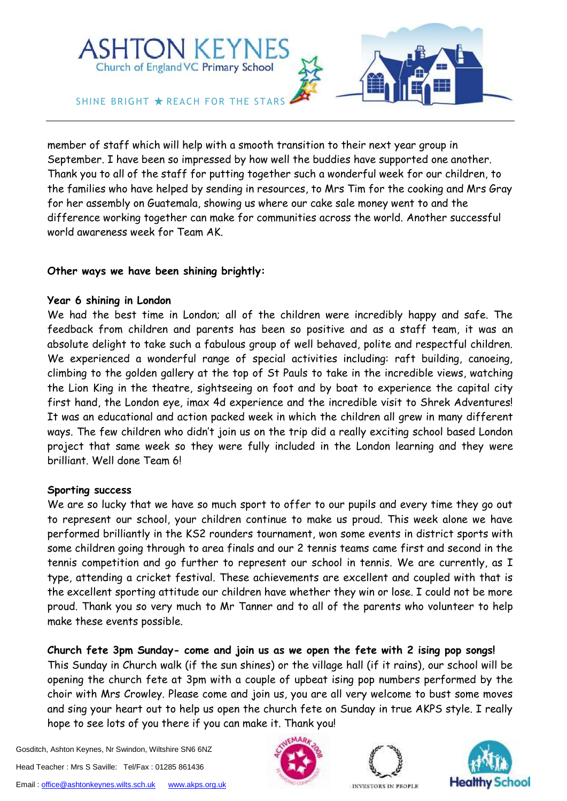

member of staff which will help with a smooth transition to their next year group in September. I have been so impressed by how well the buddies have supported one another. Thank you to all of the staff for putting together such a wonderful week for our children, to the families who have helped by sending in resources, to Mrs Tim for the cooking and Mrs Gray for her assembly on Guatemala, showing us where our cake sale money went to and the difference working together can make for communities across the world. Another successful world awareness week for Team AK.

# **Other ways we have been shining brightly:**

# **Year 6 shining in London**

We had the best time in London; all of the children were incredibly happy and safe. The feedback from children and parents has been so positive and as a staff team, it was an absolute delight to take such a fabulous group of well behaved, polite and respectful children. We experienced a wonderful range of special activities including: raft building, canoeing, climbing to the golden gallery at the top of St Pauls to take in the incredible views, watching the Lion King in the theatre, sightseeing on foot and by boat to experience the capital city first hand, the London eye, imax 4d experience and the incredible visit to Shrek Adventures! It was an educational and action packed week in which the children all grew in many different ways. The few children who didn't join us on the trip did a really exciting school based London project that same week so they were fully included in the London learning and they were brilliant. Well done Team 6!

# **Sporting success**

We are so lucky that we have so much sport to offer to our pupils and every time they go out to represent our school, your children continue to make us proud. This week alone we have performed brilliantly in the KS2 rounders tournament, won some events in district sports with some children going through to area finals and our 2 tennis teams came first and second in the tennis competition and go further to represent our school in tennis. We are currently, as I type, attending a cricket festival. These achievements are excellent and coupled with that is the excellent sporting attitude our children have whether they win or lose. I could not be more proud. Thank you so very much to Mr Tanner and to all of the parents who volunteer to help make these events possible.

# **Church fete 3pm Sunday- come and join us as we open the fete with 2 ising pop songs!**

This Sunday in Church walk (if the sun shines) or the village hall (if it rains), our school will be opening the church fete at 3pm with a couple of upbeat ising pop numbers performed by the choir with Mrs Crowley. Please come and join us, you are all very welcome to bust some moves and sing your heart out to help us open the church fete on Sunday in true AKPS style. I really hope to see lots of you there if you can make it. Thank you!

Gosditch, Ashton Keynes, Nr Swindon, Wiltshire SN6 6NZ Head Teacher : Mrs S Saville: Tel/Fax : 01285 861436 Email[: office@ashtonkeynes.wilts.sch.uk](mailto:office@ashtonkeynes.wilts.sch.uk) [www.akps.org.uk](http://www.akps.org.uk/)